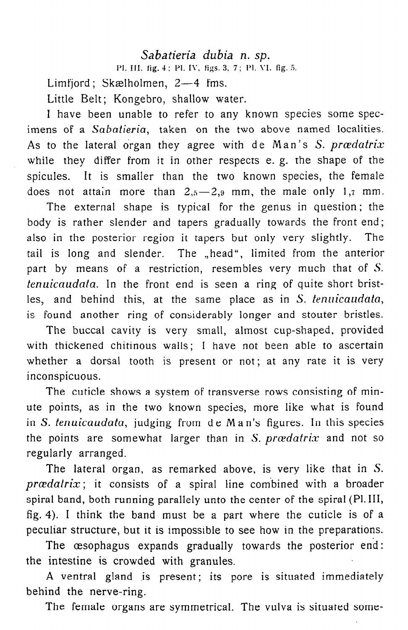## Sabatieria dubia n. sp.

Pl. III. fig. 4: Pl. IV, figs. 3, 7: Pl. VI. fig. 5.

Limfjord; Skælholmen, 2-4 fms.

Little Belt; Kongebro, shallow water.

I have been unable to refer to any known species some specimens of a Sabatieria, taken on the two above named localities. As to the lateral organ they agree with de Man's  $S$ . provedatrix while they differ from it in other respects e. g. the shape of the spicules. It is smaller than the two known species, the female does not attain more than  $2,5-2,9$  mm, the male only 1,7 mm.

The external shape is typical for the genus in question ; the body is rather slender and tapers gradually towards the front end; also in the posterior region it tapers but only very slightly. The tail is long and slender. The "head", limited from the anterior part by means of a restriction, resembles very much that of S. tenuicaudata. In the front end is seen a ring of quite short bristles, and behind this, at the same place as in S. tenuicaudata, is found another ring of considerably longer and stouter bristles.

The buccal cavity is very small, almost cup-shaped, provided with thickened chitinous walls; I have not been able to ascertain whether a dorsal tooth is present or not; at any rate it is very inconspicuous.

The cuticle shows a system of transverse rows consisting of minute points, as in the two known species, more like what is found in S. tenuicaudata, judging from de Ma n's figures. In this species the points are somewhat larger than in S.  $prædatrix$  and not so regularly arranged.

The lateral organ, as remarked above, is very like that in S.  $prædatrix$ ; it consists of a spiral line combined with a broader spiral band, both running parallely unto the center of the spiral (Pl. III, fig. 4). I think the band must be a part where the cuticle is of a peculiar structure, but it is impossible to see how in the preparations.

The œsophagus expands gradually towards the posterior end: the intestine is crowded with granules.

A ventral gland is present; its pore is situated immediately behind the nerve-ring.

The female organs are symmetrical. The vulva is situated some-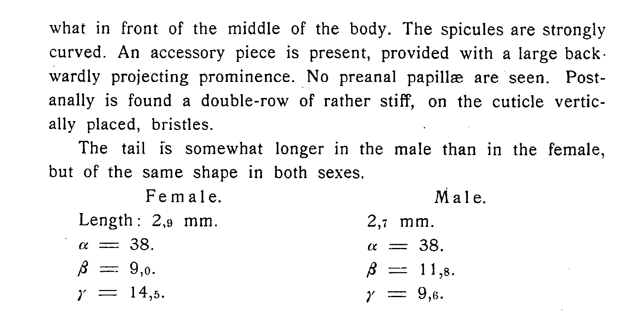what in front of the middle of the body. The spicules are strongly curved. An accessory piece is present, provided with a large backwardly projecting prominence. No preanal papillæ are seen. Postanally is found a double-row of rather stiff, on the cuticle vertically placed, bristles.

The tail is somewhat longer in the male than in the female, but of the same shape in both sexes.

Female. Length:  $2,9$  mm.  $\alpha = 38$ .  $\beta = 9.0$ .  $\gamma = 14,5.$ Male. 2,7 mm.  $\alpha = 38$ .  $\beta = 11,8.$  $\gamma = 9,6$ .